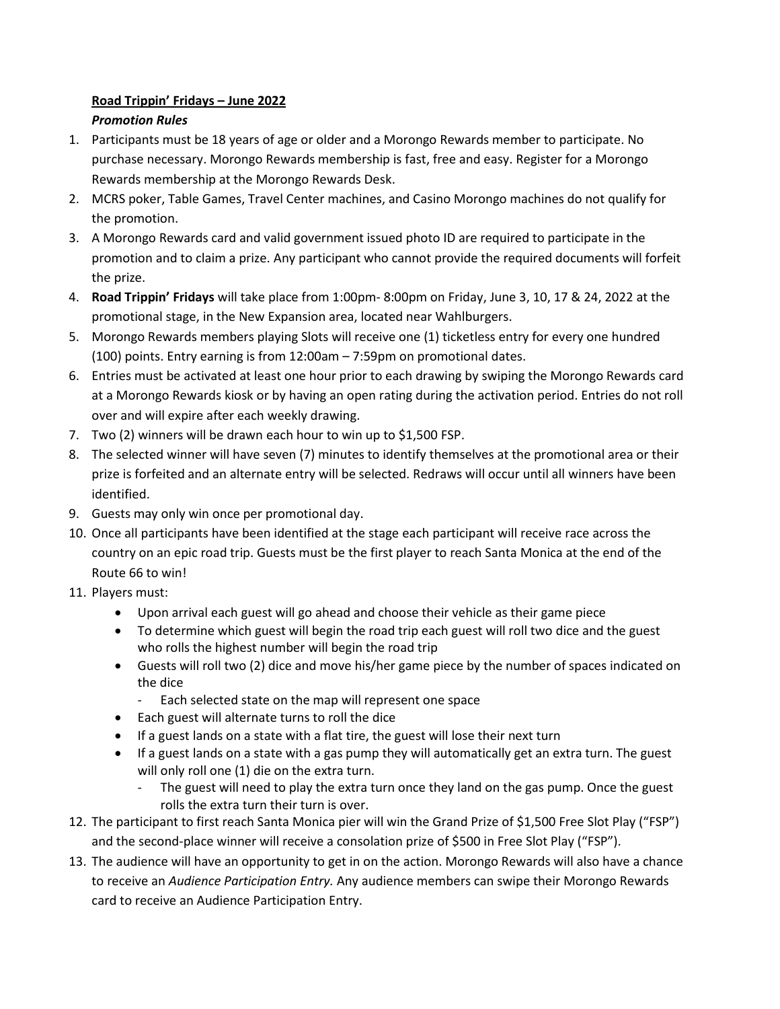## **Road Trippin' Fridays – June 2022** *Promotion Rules*

- 1. Participants must be 18 years of age or older and a Morongo Rewards member to participate. No purchase necessary. Morongo Rewards membership is fast, free and easy. Register for a Morongo Rewards membership at the Morongo Rewards Desk.
- 2. MCRS poker, Table Games, Travel Center machines, and Casino Morongo machines do not qualify for the promotion.
- 3. A Morongo Rewards card and valid government issued photo ID are required to participate in the promotion and to claim a prize. Any participant who cannot provide the required documents will forfeit the prize.
- 4. **Road Trippin' Fridays** will take place from 1:00pm- 8:00pm on Friday, June 3, 10, 17 & 24, 2022 at the promotional stage, in the New Expansion area, located near Wahlburgers.
- 5. Morongo Rewards members playing Slots will receive one (1) ticketless entry for every one hundred (100) points. Entry earning is from 12:00am – 7:59pm on promotional dates.
- 6. Entries must be activated at least one hour prior to each drawing by swiping the Morongo Rewards card at a Morongo Rewards kiosk or by having an open rating during the activation period. Entries do not roll over and will expire after each weekly drawing.
- 7. Two (2) winners will be drawn each hour to win up to \$1,500 FSP.
- 8. The selected winner will have seven (7) minutes to identify themselves at the promotional area or their prize is forfeited and an alternate entry will be selected. Redraws will occur until all winners have been identified.
- 9. Guests may only win once per promotional day.
- 10. Once all participants have been identified at the stage each participant will receive race across the country on an epic road trip. Guests must be the first player to reach Santa Monica at the end of the Route 66 to win!
- 11. Players must:
	- Upon arrival each guest will go ahead and choose their vehicle as their game piece
	- To determine which guest will begin the road trip each guest will roll two dice and the guest who rolls the highest number will begin the road trip
	- Guests will roll two (2) dice and move his/her game piece by the number of spaces indicated on the dice
		- Each selected state on the map will represent one space
	- Each guest will alternate turns to roll the dice
	- If a guest lands on a state with a flat tire, the guest will lose their next turn
	- If a guest lands on a state with a gas pump they will automatically get an extra turn. The guest will only roll one (1) die on the extra turn.
		- The guest will need to play the extra turn once they land on the gas pump. Once the guest rolls the extra turn their turn is over.
- 12. The participant to first reach Santa Monica pier will win the Grand Prize of \$1,500 Free Slot Play ("FSP") and the second-place winner will receive a consolation prize of \$500 in Free Slot Play ("FSP").
- 13. The audience will have an opportunity to get in on the action. Morongo Rewards will also have a chance to receive an *Audience Participation Entry.* Any audience members can swipe their Morongo Rewards card to receive an Audience Participation Entry.